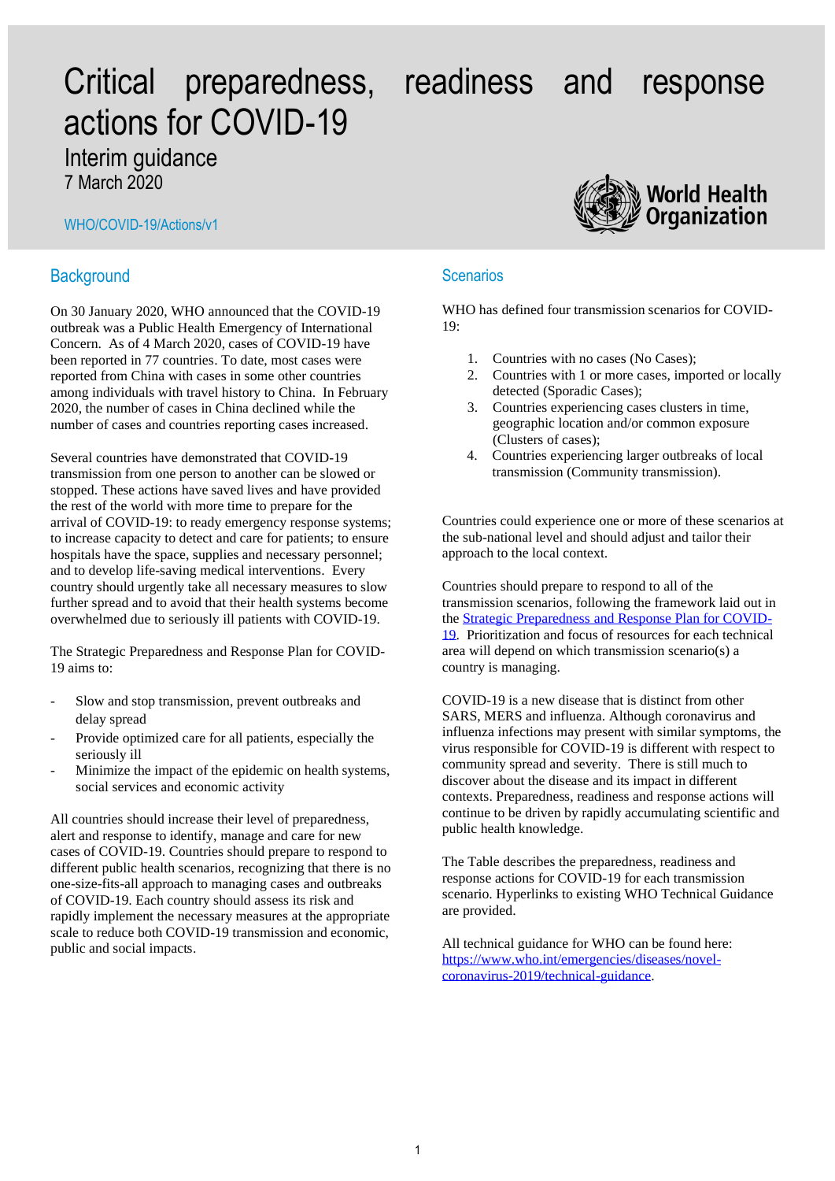# Critical preparedness, readiness and response actions for COVID-19

# Interim guidance

7 March 2020

## WHO/COVID-19/Actions/v1

# **Background**

On 30 January 2020, WHO announced that the COVID-19 outbreak was a Public Health Emergency of International Concern. As of 4 March 2020, cases of COVID-19 have been reported in 77 countries. To date, most cases were reported from China with cases in some other countries among individuals with travel history to China. In February 2020, the number of cases in China declined while the number of cases and countries reporting cases increased.

Several countries have demonstrated that COVID-19 transmission from one person to another can be slowed or stopped. These actions have saved lives and have provided the rest of the world with more time to prepare for the arrival of COVID-19: to ready emergency response systems; to increase capacity to detect and care for patients; to ensure hospitals have the space, supplies and necessary personnel; and to develop life-saving medical interventions. Every country should urgently take all necessary measures to slow further spread and to avoid that their health systems become overwhelmed due to seriously ill patients with COVID-19.

The Strategic Preparedness and Response Plan for COVID-19 aims to:

- Slow and stop transmission, prevent outbreaks and delay spread
- Provide optimized care for all patients, especially the seriously ill
- Minimize the impact of the epidemic on health systems, social services and economic activity

All countries should increase their level of preparedness, alert and response to identify, manage and care for new cases of COVID-19. Countries should prepare to respond to different public health scenarios, recognizing that there is no one-size-fits-all approach to managing cases and outbreaks of COVID-19. Each country should assess its risk and rapidly implement the necessary measures at the appropriate scale to reduce both COVID-19 transmission and economic, public and social impacts.



# **Scenarios**

WHO has defined four transmission scenarios for COVID-19:

- 1. Countries with no cases (No Cases);
- 2. Countries with 1 or more cases, imported or locally detected (Sporadic Cases);
- 3. Countries experiencing cases clusters in time, geographic location and/or common exposure (Clusters of cases);
- 4. Countries experiencing larger outbreaks of local transmission (Community transmission).

Countries could experience one or more of these scenarios at the sub-national level and should adjust and tailor their approach to the local context.

Countries should prepare to respond to all of the transmission scenarios, following the framework laid out in the [Strategic Preparedness and Response Plan for COVID-](https://www.who.int/publications-detail/strategic-preparedness-and-response-plan-for-the-new-coronavirus)[19.](https://www.who.int/publications-detail/strategic-preparedness-and-response-plan-for-the-new-coronavirus) Prioritization and focus of resources for each technical area will depend on which transmission scenario(s) a country is managing.

COVID-19 is a new disease that is distinct from other SARS, MERS and influenza. Although coronavirus and influenza infections may present with similar symptoms, the virus responsible for COVID-19 is different with respect to community spread and severity. There is still much to discover about the disease and its impact in different contexts. Preparedness, readiness and response actions will continue to be driven by rapidly accumulating scientific and public health knowledge.

The Table describes the preparedness, readiness and response actions for COVID-19 for each transmission scenario. Hyperlinks to existing WHO Technical Guidance are provided.

All technical guidance for WHO can be found here: [https://www.who.int/emergencies/diseases/novel](https://www.who.int/emergencies/diseases/novel-coronavirus-2019/technical-guidance)[coronavirus-2019/technical-guidance.](https://www.who.int/emergencies/diseases/novel-coronavirus-2019/technical-guidance)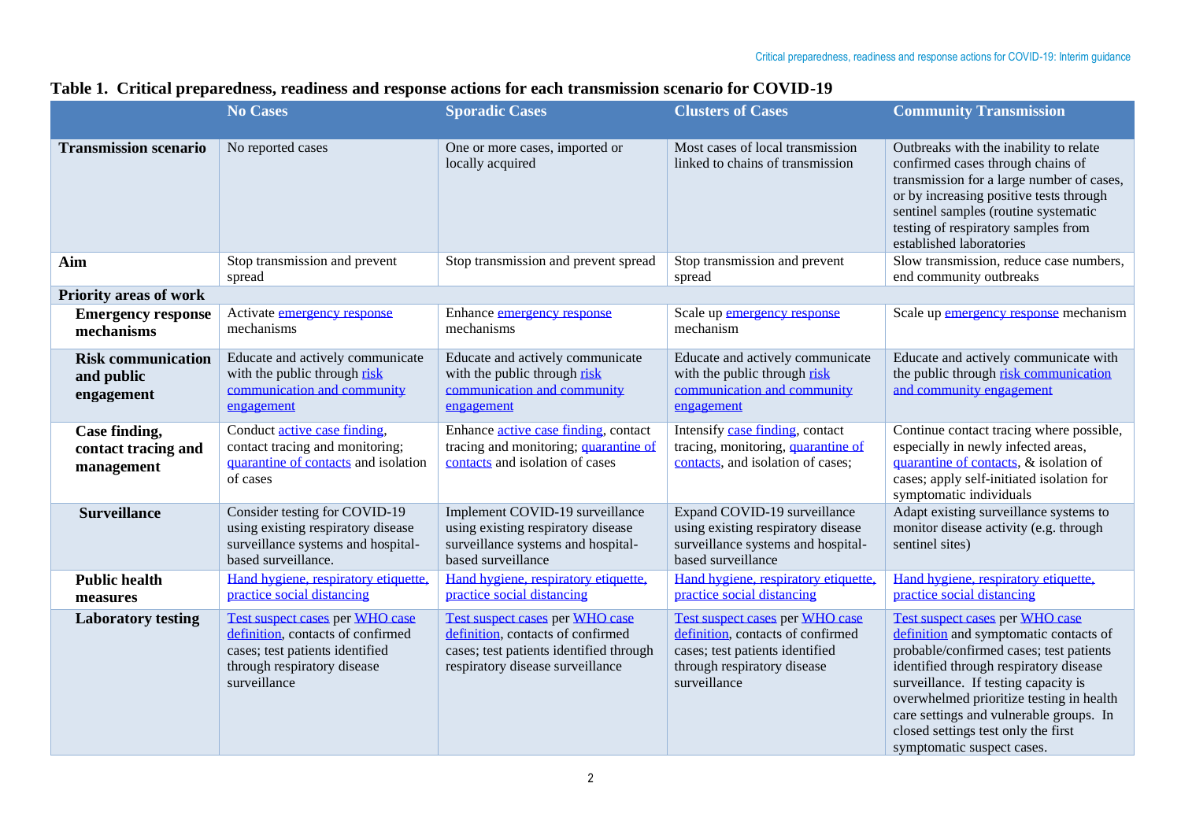|  |  |  |  |  |  |  | Table 1. Critical preparedness, readiness and response actions for each transmission scenario for COVID-19 |
|--|--|--|--|--|--|--|------------------------------------------------------------------------------------------------------------|
|--|--|--|--|--|--|--|------------------------------------------------------------------------------------------------------------|

|                                                       | <b>No Cases</b>                                                                                                                                        | <b>Sporadic Cases</b>                                                                                                                               | <b>Clusters of Cases</b>                                                                                                                               | <b>Community Transmission</b>                                                                                                                                                                                                                                                                                                                                      |
|-------------------------------------------------------|--------------------------------------------------------------------------------------------------------------------------------------------------------|-----------------------------------------------------------------------------------------------------------------------------------------------------|--------------------------------------------------------------------------------------------------------------------------------------------------------|--------------------------------------------------------------------------------------------------------------------------------------------------------------------------------------------------------------------------------------------------------------------------------------------------------------------------------------------------------------------|
| <b>Transmission scenario</b>                          | No reported cases                                                                                                                                      | One or more cases, imported or<br>locally acquired                                                                                                  | Most cases of local transmission<br>linked to chains of transmission                                                                                   | Outbreaks with the inability to relate<br>confirmed cases through chains of<br>transmission for a large number of cases,<br>or by increasing positive tests through<br>sentinel samples (routine systematic<br>testing of respiratory samples from<br>established laboratories                                                                                     |
| Aim                                                   | Stop transmission and prevent<br>spread                                                                                                                | Stop transmission and prevent spread                                                                                                                | Stop transmission and prevent<br>spread                                                                                                                | Slow transmission, reduce case numbers,<br>end community outbreaks                                                                                                                                                                                                                                                                                                 |
| <b>Priority areas of work</b>                         |                                                                                                                                                        |                                                                                                                                                     |                                                                                                                                                        |                                                                                                                                                                                                                                                                                                                                                                    |
| <b>Emergency response</b><br>mechanisms               | Activate <i>emergency</i> response<br>mechanisms                                                                                                       | Enhance emergency response<br>mechanisms                                                                                                            | Scale up emergency response<br>mechanism                                                                                                               | Scale up emergency response mechanism                                                                                                                                                                                                                                                                                                                              |
| <b>Risk communication</b><br>and public<br>engagement | Educate and actively communicate<br>with the public through risk<br>communication and community<br>engagement                                          | Educate and actively communicate<br>with the public through risk<br>communication and community<br>engagement                                       | Educate and actively communicate<br>with the public through risk<br>communication and community<br>engagement                                          | Educate and actively communicate with<br>the public through risk communication<br>and community engagement                                                                                                                                                                                                                                                         |
| Case finding,<br>contact tracing and<br>management    | Conduct <i>active</i> case finding,<br>contact tracing and monitoring;<br>quarantine of contacts and isolation<br>of cases                             | Enhance active case finding, contact<br>tracing and monitoring; quarantine of<br>contacts and isolation of cases                                    | Intensify case finding, contact<br>tracing, monitoring, quarantine of<br>contacts, and isolation of cases;                                             | Continue contact tracing where possible,<br>especially in newly infected areas,<br>quarantine of contacts, & isolation of<br>cases; apply self-initiated isolation for<br>symptomatic individuals                                                                                                                                                                  |
| <b>Surveillance</b>                                   | Consider testing for COVID-19<br>using existing respiratory disease<br>surveillance systems and hospital-<br>based surveillance.                       | Implement COVID-19 surveillance<br>using existing respiratory disease<br>surveillance systems and hospital-<br>based surveillance                   | Expand COVID-19 surveillance<br>using existing respiratory disease<br>surveillance systems and hospital-<br>based surveillance                         | Adapt existing surveillance systems to<br>monitor disease activity (e.g. through<br>sentinel sites)                                                                                                                                                                                                                                                                |
| <b>Public health</b><br>measures                      | Hand hygiene, respiratory etiquette,<br>practice social distancing                                                                                     | Hand hygiene, respiratory etiquette,<br>practice social distancing                                                                                  | Hand hygiene, respiratory etiquette,<br>practice social distancing                                                                                     | Hand hygiene, respiratory etiquette,<br>practice social distancing                                                                                                                                                                                                                                                                                                 |
| <b>Laboratory testing</b>                             | Test suspect cases per WHO case<br>definition, contacts of confirmed<br>cases; test patients identified<br>through respiratory disease<br>surveillance | Test suspect cases per WHO case<br>definition, contacts of confirmed<br>cases; test patients identified through<br>respiratory disease surveillance | Test suspect cases per WHO case<br>definition, contacts of confirmed<br>cases; test patients identified<br>through respiratory disease<br>surveillance | Test suspect cases per WHO case<br>definition and symptomatic contacts of<br>probable/confirmed cases; test patients<br>identified through respiratory disease<br>surveillance. If testing capacity is<br>overwhelmed prioritize testing in health<br>care settings and vulnerable groups. In<br>closed settings test only the first<br>symptomatic suspect cases. |